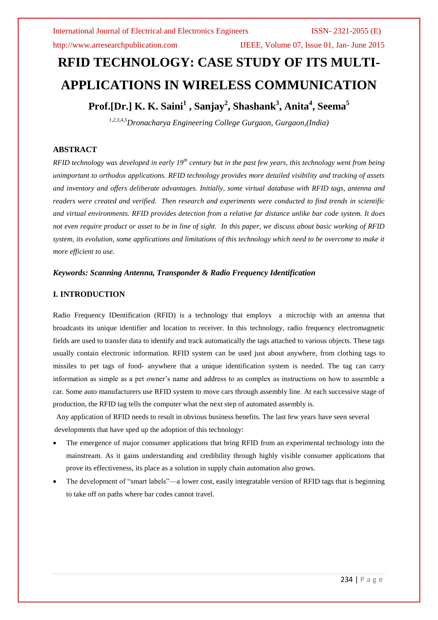http://www.arresearchpublication.com IJEEE, Volume 07, Issue 01, Jan- June 2015

# **RFID TECHNOLOGY: CASE STUDY OF ITS MULTI-APPLICATIONS IN WIRELESS COMMUNICATION**

## **Prof.[Dr.] K. K. Saini<sup>1</sup> , Sanjay<sup>2</sup> , Shashank<sup>3</sup> , Anita<sup>4</sup> , Seema<sup>5</sup>**

*1,2,3,4,5Dronacharya Engineering College Gurgaon, Gurgaon,(India)*

### **ABSTRACT**

*RFID technology was developed in early 19th century but in the past few years, this technology went from being unimportant to orthodox applications. RFID technology provides more detailed visibility and tracking of assets and inventory and offers deliberate advantages. Initially, some virtual database with RFID tags, antenna and readers were created and verified. Then research and experiments were conducted to find trends in scientific and virtual environments. RFID provides detection from a relative far distance unlike bar code system. It does not even require product or asset to be in line of sight. In this paper, we discuss about basic working of RFID system, its evolution, some applications and limitations of this technology which need to be overcome to make it more efficient to use.*

#### *Keywords: Scanning Antenna, Transponder & Radio Frequency Identification*

### **I. INTRODUCTION**

Radio Frequency IDentification (RFID) is a technology that employs a microchip with an antenna that broadcasts its unique identifier and location to receiver. In this technology, radio frequency electromagnetic fields are used to transfer data to identify and track automatically the tags attached to various objects. These tags usually contain electronic information. RFID system can be used just about anywhere, from clothing tags to missiles to pet tags of food- anywhere that a unique identification system is needed. The tag can carry information as simple as a pet owner's name and address to as complex as instructions on how to assemble a car. Some auto manufacturers use RFID system to move cars through assembly line. At each successive stage of production, the RFID tag tells the computer what the next step of automated assembly is.

Any application of RFID needs to result in obvious business benefits. The last few years have seen several developments that have sped up the adoption of this technology:

- The emergence of major consumer applications that bring RFID from an experimental technology into the mainstream. As it gains understanding and credibility through highly visible consumer applications that prove its effectiveness, its place as a solution in supply chain automation also grows.
- The development of "smart labels"—a lower cost, easily integratable version of RFID tags that is beginning to take off on paths where bar codes cannot travel.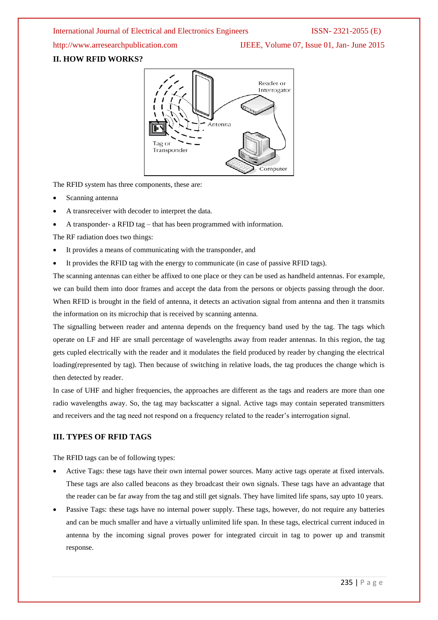http://www.arresearchpublication.com IJEEE, Volume 07, Issue 01, Jan- June 2015

### **II. HOW RFID WORKS?**



The RFID system has three components, these are:

- Scanning antenna
- A transreceiver with decoder to interpret the data.
- A transponder- a RFID tag that has been programmed with information.

The RF radiation does two things:

- It provides a means of communicating with the transponder, and
- It provides the RFID tag with the energy to communicate (in case of passive RFID tags).

The scanning antennas can either be affixed to one place or they can be used as handheld antennas. For example, we can build them into door frames and accept the data from the persons or objects passing through the door. When RFID is brought in the field of antenna, it detects an activation signal from antenna and then it transmits the information on its microchip that is received by scanning antenna.

The signalling between reader and antenna depends on the frequency band used by the tag. The tags which operate on LF and HF are small percentage of wavelengths away from reader antennas. In this region, the tag gets cupled electrically with the reader and it modulates the field produced by reader by changing the electrical loading(represented by tag). Then because of switching in relative loads, the tag produces the change which is then detected by reader.

In case of UHF and higher frequencies, the approaches are different as the tags and readers are more than one radio wavelengths away. So, the tag may backscatter a signal. Active tags may contain seperated transmitters and receivers and the tag need not respond on a frequency related to the reader's interrogation signal.

### **III. TYPES OF RFID TAGS**

The RFID tags can be of following types:

- Active Tags: these tags have their own internal power sources. Many active tags operate at fixed intervals. These tags are also called beacons as they broadcast their own signals. These tags have an advantage that the reader can be far away from the tag and still get signals. They have limited life spans, say upto 10 years.
- Passive Tags: these tags have no internal power supply. These tags, however, do not require any batteries and can be much smaller and have a virtually unlimited life span. In these tags, electrical current induced in antenna by the incoming signal proves power for integrated circuit in tag to power up and transmit response.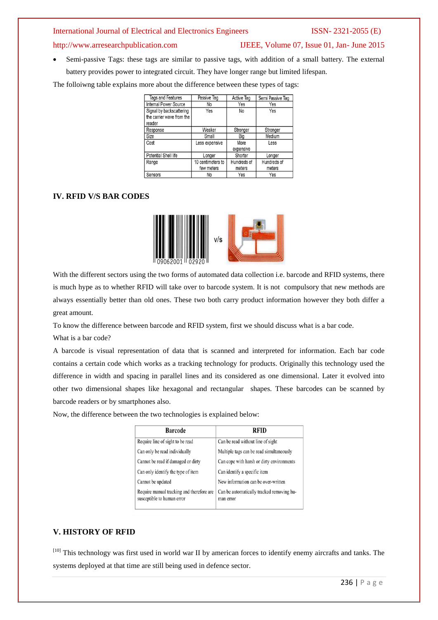### http://www.arresearchpublication.com IJEEE, Volume 07, Issue 01, Jan- June 2015

 Semi-passive Tags: these tags are similar to passive tags, with addition of a small battery. The external battery provides power to integrated circuit. They have longer range but limited lifespan.

The folloiwng table explains more about the difference between these types of tags:

| Tags and Features                                               | Passive Tag                     | <b>Active Tag</b>     | Semi Passive Tag      |
|-----------------------------------------------------------------|---------------------------------|-----------------------|-----------------------|
| Internal Power Source                                           | No                              | Yes                   | Yes                   |
| Signal by backscattering<br>the carrier wave from the<br>reader | Yes                             | No                    | Yes                   |
| Response                                                        | Weaker                          | Stronger              | Stronger              |
| Size                                                            | Small                           | Big                   | Medium                |
| Cost                                                            | Less expensive                  | More<br>expensive     | Less                  |
| Potential Shell life                                            | Longer                          | Shorter               | Longer                |
| Range                                                           | 10 centimeters to<br>few meters | Hundreds of<br>meters | Hundreds of<br>meters |
| Sensors                                                         | No                              | Yes                   | Yes                   |

### **IV. RFID V/S BAR CODES**



With the different sectors using the two forms of automated data collection i.e. barcode and RFID systems, there is much hype as to whether RFID will take over to barcode system. It is not compulsory that new methods are always essentially better than old ones. These two both carry product information however they both differ a great amount.

To know the difference between barcode and RFID system, first we should discuss what is a bar code.

What is a bar code?

A barcode is visual representation of data that is scanned and interpreted for information. Each bar code contains a certain code which works as a tracking technology for products. Originally this technology used the difference in width and spacing in parallel lines and its considered as one dimensional. Later it evolved into other two dimensional shapes like hexagonal and rectangular shapes. These barcodes can be scanned by barcode readers or by smartphones also.

Now, the difference between the two technologies is explained below:

| <b>Barcode</b>                                                          | RFID                                                   |  |
|-------------------------------------------------------------------------|--------------------------------------------------------|--|
| Require line of sight to be read                                        | Can be read without line of sight                      |  |
| Can only be read individually                                           | Multiple tags can be read simultaneously               |  |
| Cannot be read if damaged or dirty                                      | Can cope with harsh or dirty environments              |  |
| Can only identify the type of item                                      | Can identify a specific item                           |  |
| Cannot be updated                                                       | New information can be over-written                    |  |
| Require manual tracking and therefore are<br>susceptible to human error | Can be automatically tracked removing hu-<br>man error |  |

### **V. HISTORY OF RFID**

[10] This technology was first used in world war II by american forces to identify enemy aircrafts and tanks. The systems deployed at that time are still being used in defence sector.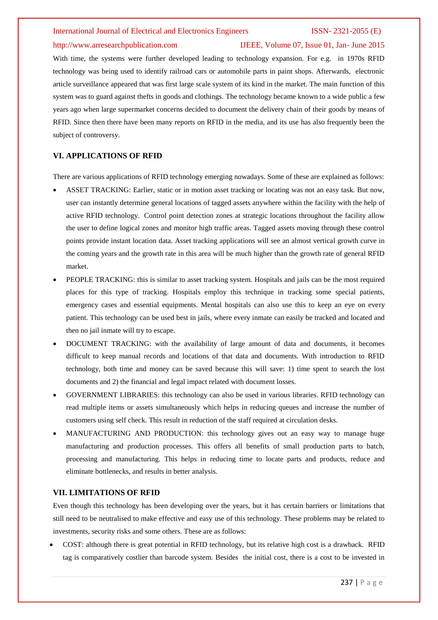#### http://www.arresearchpublication.com IJEEE, Volume 07, Issue 01, Jan- June 2015

With time, the systems were further developed leading to technology expansion. For e.g. in 1970s RFID technology was being used to identify railroad cars or automobile parts in paint shops. Afterwards, electronic article surveillance appeared that was first large scale system of its kind in the market. The main function of this system was to guard against thefts in goods and clothings. The technology became known to a wide public a few years ago when large supermarket concerns decided to document the delivery chain of their goods by means of RFID. Since then there have been many reports on RFID in the media, and its use has also frequently been the subject of controversy.

#### **VI. APPLICATIONS OF RFID**

There are various applications of RFID technology emerging nowadays. Some of these are explained as follows:

- ASSET TRACKING: Earlier, static or in motion asset tracking or locating was not an easy task. But now, user can instantly determine general locations of tagged assets anywhere within the facility with the help of active RFID technology. Control point detection zones at strategic locations throughout the facility allow the user to define logical zones and monitor high traffic areas. Tagged assets moving through these control points provide instant location data. Asset tracking applications will see an almost vertical growth curve in the coming years and the growth rate in this area will be much higher than the growth rate of general RFID market.
- PEOPLE TRACKING: this is similar to asset tracking system. Hospitals and jails can be the most required places for this type of tracking. Hospitals employ this technique in tracking some special patients, emergency cases and essential equipments. Mental hospitals can also use this to keep an eye on every patient. This technology can be used best in jails, where every inmate can easily be tracked and located and then no jail inmate will try to escape.
- DOCUMENT TRACKING: with the availability of large amount of data and documents, it becomes difficult to keep manual records and locations of that data and documents. With introduction to RFID technology, both time and money can be saved because this will save: 1) time spent to search the lost documents and 2) the financial and legal impact related with document losses.
- GOVERNMENT LIBRARIES: this technology can also be used in various libraries. RFID technology can read multiple items or assets simultaneously which helps in reducing queues and increase the number of customers using self check. This result in reduction of the staff required at circulation desks.
- MANUFACTURING AND PRODUCTION: this technology gives out an easy way to manage huge manufacturing and production processes. This offers all benefits of small production parts to batch, processing and manufacturing. This helps in reducing time to locate parts and products, reduce and eliminate bottlenecks, and results in better analysis.

#### **VII. LIMITATIONS OF RFID**

Even though this technology has been developing over the years, but it has certain barriers or limitations that still need to be neutralised to make effective and easy use of this technology. These problems may be related to investments, security risks and some others. These are as follows:

 COST: although there is great potential in RFID technology, but its relative high cost is a drawback. RFID tag is comparatively costlier than barcode system. Besides the initial cost, there is a cost to be invested in